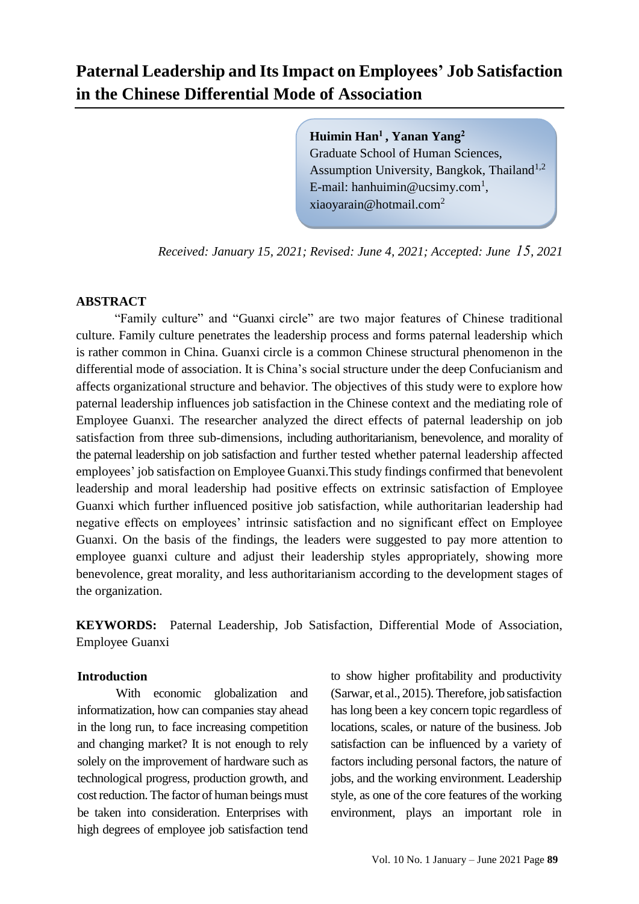# **Paternal Leadership and Its Impact on Employees' Job Satisfaction in the Chinese Differential Mode of Association**

**Huimin Han<sup>1</sup> , Yanan Yang<sup>2</sup>** Graduate School of Human Sciences, Assumption University, Bangkok, Thailand<sup>1,2</sup> E-mail: [hanhuimin@ucsimy.com](mailto:hanhuimin@ucsimy.com1,)<sup>1</sup>, xiaoyarain@hotmail.com<sup>2</sup>

*Received: January 15, 2021; Revised: June 4, 2021; Accepted: June 51, 2021*

#### **ABSTRACT**

"Family culture" and "Guanxi circle" are two major features of Chinese traditional culture. Family culture penetrates the leadership process and forms paternal leadership which is rather common in China. Guanxi circle is a common Chinese structural phenomenon in the differential mode of association. It is China's social structure under the deep Confucianism and affects organizational structure and behavior. The objectives of this study were to explore how paternal leadership influences job satisfaction in the Chinese context and the mediating role of Employee Guanxi. The researcher analyzed the direct effects of paternal leadership on job satisfaction from three sub-dimensions, including authoritarianism, benevolence, and morality of the paternal leadership on job satisfaction and further tested whether paternal leadership affected employees' job satisfaction on Employee Guanxi.This study findings confirmed that benevolent leadership and moral leadership had positive effects on extrinsic satisfaction of Employee Guanxi which further influenced positive job satisfaction, while authoritarian leadership had negative effects on employees' intrinsic satisfaction and no significant effect on Employee Guanxi. On the basis of the findings, the leaders were suggested to pay more attention to employee guanxi culture and adjust their leadership styles appropriately, showing more benevolence, great morality, and less authoritarianism according to the development stages of the organization.

**KEYWORDS:** Paternal Leadership, Job Satisfaction, Differential Mode of Association, Employee Guanxi

#### **Introduction**

With economic globalization and informatization, how can companies stay ahead in the long run, to face increasing competition and changing market? It is not enough to rely solely on the improvement of hardware such as technological progress, production growth, and cost reduction. The factor of human beings must be taken into consideration. Enterprises with high degrees of employee job satisfaction tend

to show higher profitability and productivity (Sarwar, et al., 2015). Therefore, job satisfaction has long been a key concern topic regardless of locations, scales, or nature of the business. Job satisfaction can be influenced by a variety of factors including personal factors, the nature of jobs, and the working environment. Leadership style, as one of the core features of the working environment, plays an important role in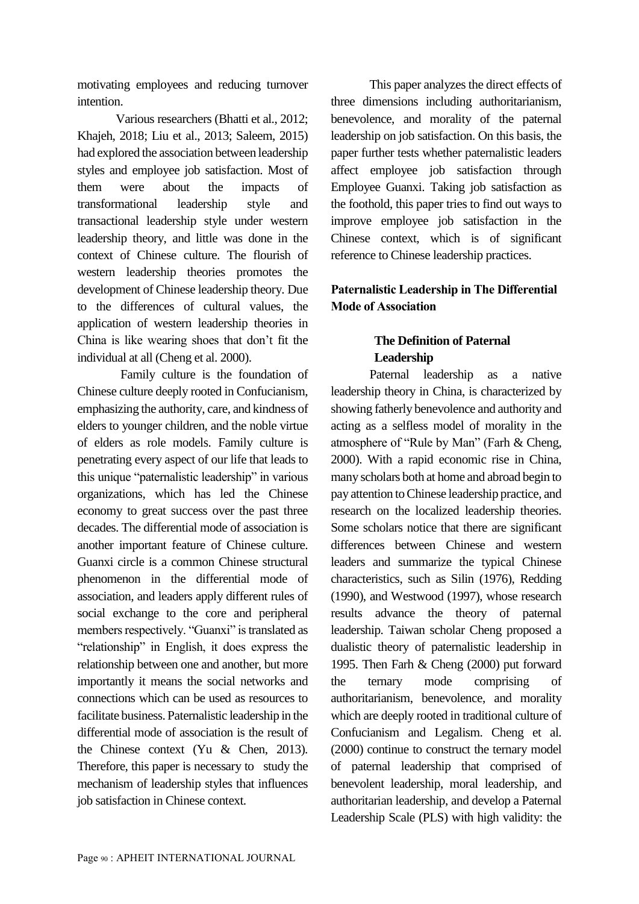motivating employees and reducing turnover intention.

Various researchers (Bhatti et al., 2012; Khajeh, 2018; Liu et al., 2013; Saleem, 2015) had explored the association between leadership styles and employee job satisfaction. Most of them were about the impacts of transformational leadership style and transactional leadership style under western leadership theory, and little was done in the context of Chinese culture. The flourish of western leadership theories promotes the development of Chinese leadership theory. Due to the differences of cultural values, the application of western leadership theories in China is like wearing shoes that don't fit the individual at all (Cheng et al. 2000).

Family culture is the foundation of Chinese culture deeply rooted in Confucianism, emphasizing the authority, care, and kindness of elders to younger children, and the noble virtue of elders as role models. Family culture is penetrating every aspect of our life that leads to this unique "paternalistic leadership" in various organizations, which has led the Chinese economy to great success over the past three decades. The differential mode of association is another important feature of Chinese culture. Guanxi circle is a common Chinese structural phenomenon in the differential mode of association, and leaders apply different rules of social exchange to the core and peripheral members respectively. "Guanxi" is translated as "relationship" in English, it does express the relationship between one and another, but more importantly it means the social networks and connections which can be used as resources to facilitate business. Paternalistic leadership in the differential mode of association is the result of the Chinese context (Yu & Chen, 2013). Therefore, this paper is necessary to study the mechanism of leadership styles that influences job satisfaction in Chinese context.

This paper analyzes the direct effects of three dimensions including authoritarianism, benevolence, and morality of the paternal leadership on job satisfaction. On this basis, the paper further tests whether paternalistic leaders affect employee job satisfaction through Employee Guanxi. Taking job satisfaction as the foothold, this paper tries to find out ways to improve employee job satisfaction in the Chinese context, which is of significant reference to Chinese leadership practices.

## **Paternalistic Leadership in The Differential Mode of Association**

# **The Definition of Paternal Leadership**

Paternal leadership as a native leadership theory in China, is characterized by showing fatherly benevolence and authority and acting as a selfless model of morality in the atmosphere of "Rule by Man" (Farh & Cheng, 2000). With a rapid economic rise in China, many scholars both at home and abroad begin to pay attention to Chinese leadership practice, and research on the localized leadership theories. Some scholars notice that there are significant differences between Chinese and western leaders and summarize the typical Chinese characteristics, such as Silin (1976), Redding (1990), and Westwood (1997), whose research results advance the theory of paternal leadership. Taiwan scholar Cheng proposed a dualistic theory of paternalistic leadership in 1995. Then Farh & Cheng (2000) put forward the ternary mode comprising of authoritarianism, benevolence, and morality which are deeply rooted in traditional culture of Confucianism and Legalism. Cheng et al. (2000) continue to construct the ternary model of paternal leadership that comprised of benevolent leadership, moral leadership, and authoritarian leadership, and develop a Paternal Leadership Scale (PLS) with high validity: the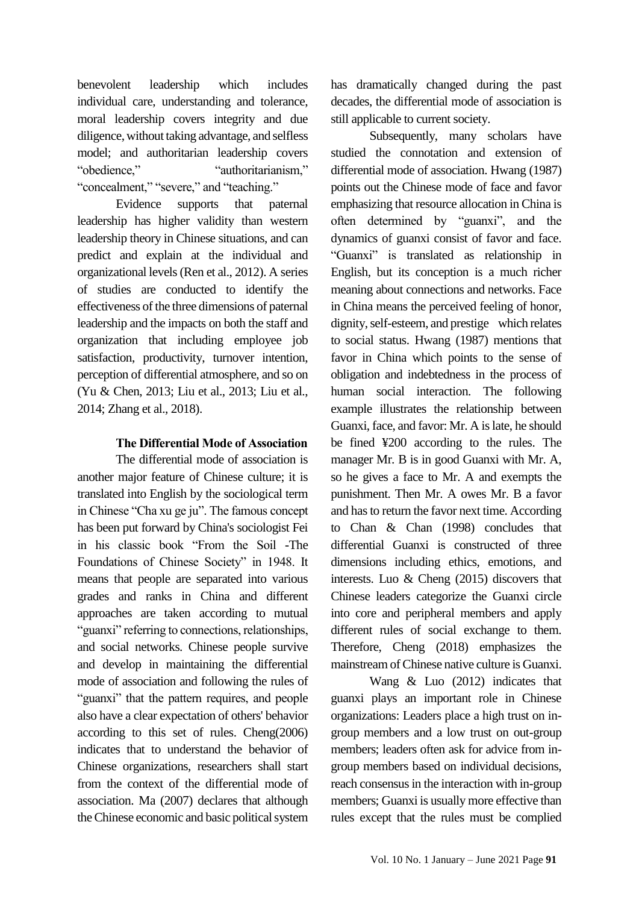benevolent leadership which includes individual care, understanding and tolerance, moral leadership covers integrity and due diligence, without taking advantage, and selfless model; and authoritarian leadership covers "obedience," "authoritarianism," "concealment," "severe," and "teaching."

Evidence supports that paternal leadership has higher validity than western leadership theory in Chinese situations, and can predict and explain at the individual and organizational levels (Ren et al., 2012). A series of studies are conducted to identify the effectiveness of the three dimensions of paternal leadership and the impacts on both the staff and organization that including employee job satisfaction, productivity, turnover intention, perception of differential atmosphere, and so on (Yu & Chen, 2013; Liu et al., 2013; Liu et al., 2014; Zhang et al., 2018).

#### **The Differential Mode of Association**

The differential mode of association is another major feature of Chinese culture; it is translated into English by the sociological term in Chinese "Cha xu ge ju". The famous concept has been put forward by China's sociologist Fei in his classic book "From the Soil -The Foundations of Chinese Society" in 1948. It means that people are separated into various grades and ranks in China and different approaches are taken according to mutual "guanxi" referring to connections, relationships, and social networks. Chinese people survive and develop in maintaining the differential mode of association and following the rules of "guanxi" that the pattern requires, and people also have a clear expectation of others' behavior according to this set of rules. Cheng(2006) indicates that to understand the behavior of Chinese organizations, researchers shall start from the context of the differential mode of association. Ma (2007) declares that although the Chinese economic and basic political system

has dramatically changed during the past decades, the differential mode of association is still applicable to current society.

Subsequently, many scholars have studied the connotation and extension of differential mode of association. Hwang (1987) points out the Chinese mode of face and favor emphasizing that resource allocation in China is often determined by "guanxi", and the dynamics of guanxi consist of favor and face. "Guanxi" is translated as relationship in English, but its conception is a much richer meaning about connections and networks. Face in China means the perceived feeling of honor, dignity, self-esteem, and prestige which relates to social status. Hwang (1987) mentions that favor in China which points to the sense of obligation and indebtedness in the process of human social interaction. The following example illustrates the relationship between Guanxi, face, and favor: Mr. A is late, he should be fined ¥200 according to the rules. The manager Mr. B is in good Guanxi with Mr. A, so he gives a face to Mr. A and exempts the punishment. Then Mr. A owes Mr. B a favor and has to return the favor next time. According to Chan & Chan (1998) concludes that differential Guanxi is constructed of three dimensions including ethics, emotions, and interests. Luo & Cheng (2015) discovers that Chinese leaders categorize the Guanxi circle into core and peripheral members and apply different rules of social exchange to them. Therefore, Cheng (2018) emphasizes the mainstream of Chinese native culture is Guanxi.

Wang & Luo (2012) indicates that guanxi plays an important role in Chinese organizations: Leaders place a high trust on ingroup members and a low trust on out-group members; leaders often ask for advice from ingroup members based on individual decisions, reach consensus in the interaction with in-group members; Guanxi is usually more effective than rules except that the rules must be complied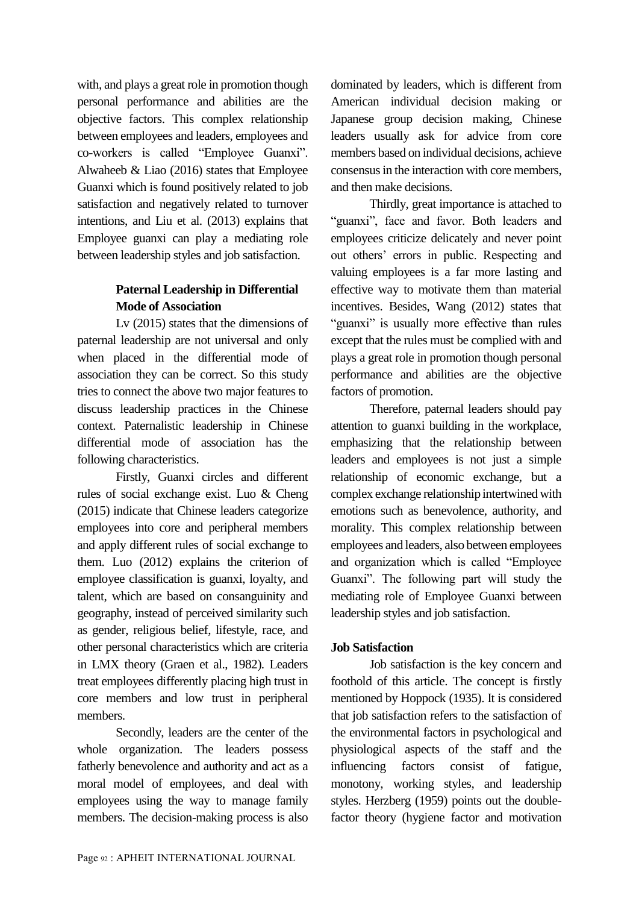with, and plays a great role in promotion though personal performance and abilities are the objective factors. This complex relationship between employees and leaders, employees and co-workers is called "Employee Guanxi". Alwaheeb & Liao (2016) states that Employee Guanxi which is found positively related to job satisfaction and negatively related to turnover intentions, and Liu et al. (2013) explains that Employee guanxi can play a mediating role between leadership styles and job satisfaction.

## **Paternal Leadership in Differential Mode of Association**

Lv (2015) states that the dimensions of paternal leadership are not universal and only when placed in the differential mode of association they can be correct. So this study tries to connect the above two major features to discuss leadership practices in the Chinese context. Paternalistic leadership in Chinese differential mode of association has the following characteristics.

Firstly, Guanxi circles and different rules of social exchange exist. Luo & Cheng (2015) indicate that Chinese leaders categorize employees into core and peripheral members and apply different rules of social exchange to them. Luo (2012) explains the criterion of employee classification is guanxi, loyalty, and talent, which are based on consanguinity and geography, instead of perceived similarity such as gender, religious belief, lifestyle, race, and other personal characteristics which are criteria in LMX theory (Graen et al., 1982). Leaders treat employees differently placing high trust in core members and low trust in peripheral members.

Secondly, leaders are the center of the whole organization. The leaders possess fatherly benevolence and authority and act as a moral model of employees, and deal with employees using the way to manage family members. The decision-making process is also dominated by leaders, which is different from American individual decision making or Japanese group decision making, Chinese leaders usually ask for advice from core members based on individual decisions, achieve consensus in the interaction with core members, and then make decisions.

Thirdly, great importance is attached to "guanxi", face and favor. Both leaders and employees criticize delicately and never point out others' errors in public. Respecting and valuing employees is a far more lasting and effective way to motivate them than material incentives. Besides, Wang (2012) states that "guanxi" is usually more effective than rules except that the rules must be complied with and plays a great role in promotion though personal performance and abilities are the objective factors of promotion.

Therefore, paternal leaders should pay attention to guanxi building in the workplace, emphasizing that the relationship between leaders and employees is not just a simple relationship of economic exchange, but a complex exchange relationship intertwined with emotions such as benevolence, authority, and morality. This complex relationship between employees and leaders, also between employees and organization which is called "Employee Guanxi". The following part will study the mediating role of Employee Guanxi between leadership styles and job satisfaction.

### **Job Satisfaction**

Job satisfaction is the key concern and foothold of this article. The concept is firstly mentioned by Hoppock (1935). It is considered that job satisfaction refers to the satisfaction of the environmental factors in psychological and physiological aspects of the staff and the influencing factors consist of fatigue, monotony, working styles, and leadership styles. Herzberg (1959) points out the doublefactor theory (hygiene factor and motivation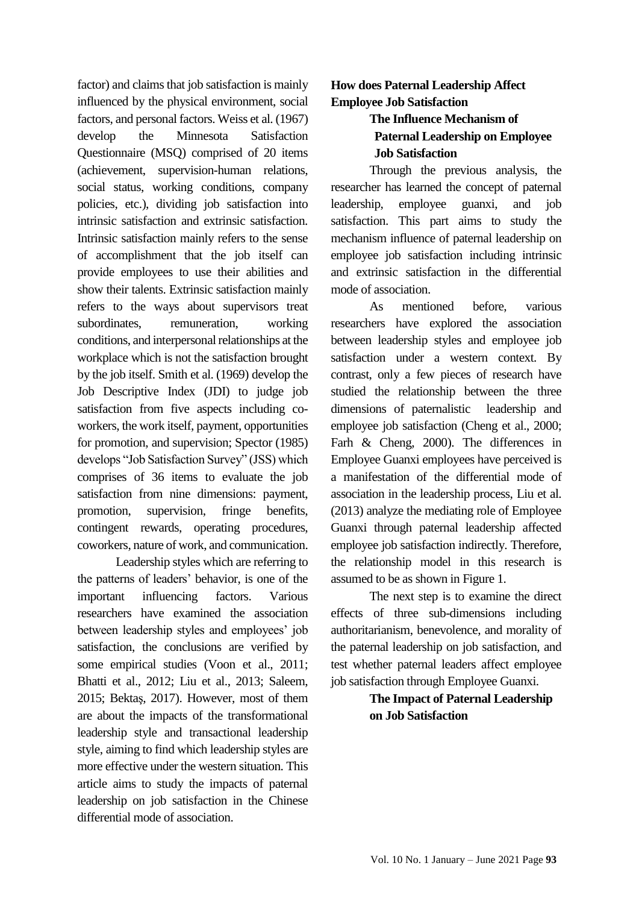factor) and claims that job satisfaction is mainly influenced by the physical environment, social factors, and personal factors. Weiss et al. (1967) develop the Minnesota Satisfaction Questionnaire (MSQ) comprised of 20 items (achievement, supervision-human relations, social status, working conditions, company policies, etc.), dividing job satisfaction into intrinsic satisfaction and extrinsic satisfaction. Intrinsic satisfaction mainly refers to the sense of accomplishment that the job itself can provide employees to use their abilities and show their talents. Extrinsic satisfaction mainly refers to the ways about supervisors treat subordinates, remuneration, working conditions, and interpersonal relationships at the workplace which is not the satisfaction brought by the job itself. Smith et al. (1969) develop the Job Descriptive Index (JDI) to judge job satisfaction from five aspects including coworkers, the work itself, payment, opportunities for promotion, and supervision; Spector (1985) develops "Job Satisfaction Survey" (JSS) which comprises of 36 items to evaluate the job satisfaction from nine dimensions: payment, promotion, supervision, fringe benefits, contingent rewards, operating procedures, coworkers, nature of work, and communication.

Leadership styles which are referring to the patterns of leaders' behavior, is one of the important influencing factors. Various researchers have examined the association between leadership styles and employees' job satisfaction, the conclusions are verified by some empirical studies (Voon et al., 2011; Bhatti et al., 2012; Liu et al., 2013; Saleem, 2015; Bektaş, 2017). However, most of them are about the impacts of the transformational leadership style and transactional leadership style, aiming to find which leadership styles are more effective under the western situation. This article aims to study the impacts of paternal leadership on job satisfaction in the Chinese differential mode of association.

## **How does Paternal Leadership Affect Employee Job Satisfaction**

# **The Influence Mechanism of Paternal Leadership on Employee Job Satisfaction**

Through the previous analysis, the researcher has learned the concept of paternal leadership, employee guanxi, and job satisfaction. This part aims to study the mechanism influence of paternal leadership on employee job satisfaction including intrinsic and extrinsic satisfaction in the differential mode of association.

As mentioned before, various researchers have explored the association between leadership styles and employee job satisfaction under a western context. By contrast, only a few pieces of research have studied the relationship between the three dimensions of paternalistic leadership and employee job satisfaction (Cheng et al., 2000; Farh & Cheng, 2000). The differences in Employee Guanxi employees have perceived is a manifestation of the differential mode of association in the leadership process, Liu et al. (2013) analyze the mediating role of Employee Guanxi through paternal leadership affected employee job satisfaction indirectly. Therefore, the relationship model in this research is assumed to be as shown in Figure 1.

The next step is to examine the direct effects of three sub-dimensions including authoritarianism, benevolence, and morality of the paternal leadership on job satisfaction, and test whether paternal leaders affect employee job satisfaction through Employee Guanxi.

## **The Impact of Paternal Leadership on Job Satisfaction**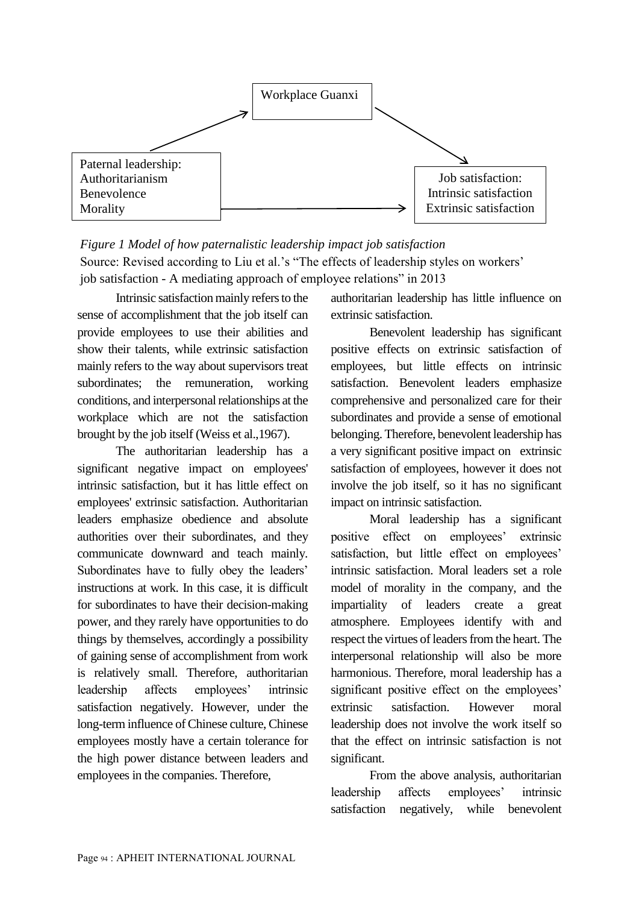

# *Figure 1 Model of how paternalistic leadership impact job satisfaction* Source: Revised according to Liu et al.'s "The effects of leadership styles on workers' job satisfaction - A mediating approach of employee relations" in 2013

Intrinsic satisfaction mainly refers to the sense of accomplishment that the job itself can provide employees to use their abilities and show their talents, while extrinsic satisfaction mainly refers to the way about supervisors treat subordinates; the remuneration, working conditions, and interpersonal relationships at the workplace which are not the satisfaction brought by the job itself (Weiss et al.,1967).

The authoritarian leadership has a significant negative impact on employees' intrinsic satisfaction, but it has little effect on employees' extrinsic satisfaction. Authoritarian leaders emphasize obedience and absolute authorities over their subordinates, and they communicate downward and teach mainly. Subordinates have to fully obey the leaders' instructions at work. In this case, it is difficult for subordinates to have their decision-making power, and they rarely have opportunities to do things by themselves, accordingly a possibility of gaining sense of accomplishment from work is relatively small. Therefore, authoritarian leadership affects employees' intrinsic satisfaction negatively. However, under the long-term influence of Chinese culture, Chinese employees mostly have a certain tolerance for the high power distance between leaders and employees in the companies. Therefore,

authoritarian leadership has little influence on extrinsic satisfaction.

Benevolent leadership has significant positive effects on extrinsic satisfaction of employees, but little effects on intrinsic satisfaction. Benevolent leaders emphasize comprehensive and personalized care for their subordinates and provide a sense of emotional belonging. Therefore, benevolent leadership has a very significant positive impact on extrinsic satisfaction of employees, however it does not involve the job itself, so it has no significant impact on intrinsic satisfaction.

Moral leadership has a significant positive effect on employees' extrinsic satisfaction, but little effect on employees' intrinsic satisfaction. Moral leaders set a role model of morality in the company, and the impartiality of leaders create a great atmosphere. Employees identify with and respect the virtues of leaders from the heart. The interpersonal relationship will also be more harmonious. Therefore, moral leadership has a significant positive effect on the employees' extrinsic satisfaction. However moral leadership does not involve the work itself so that the effect on intrinsic satisfaction is not significant.

From the above analysis, authoritarian leadership affects employees' intrinsic satisfaction negatively, while benevolent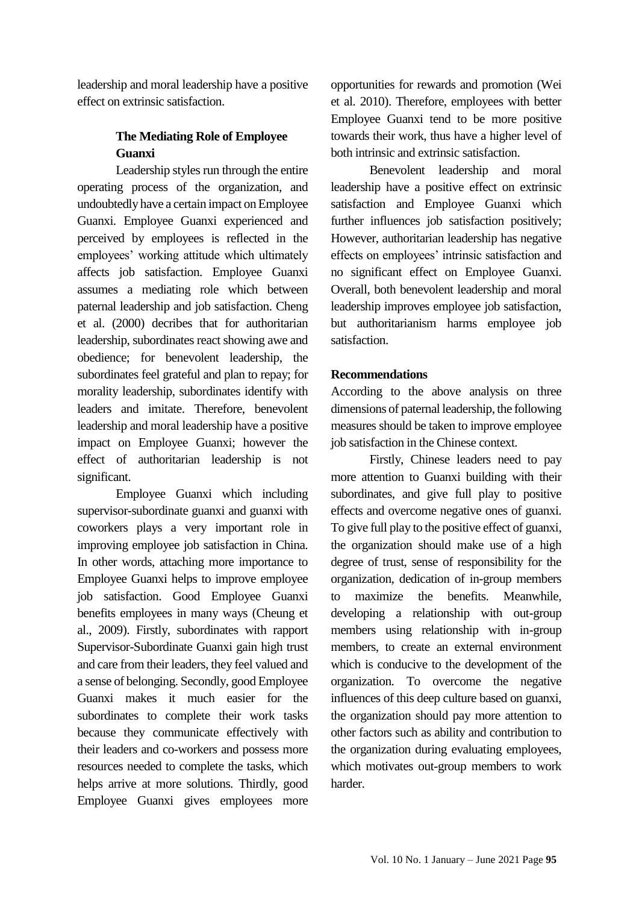leadership and moral leadership have a positive effect on extrinsic satisfaction.

## **The Mediating Role of Employee Guanxi**

Leadership styles run through the entire operating process of the organization, and undoubtedly have a certain impact on Employee Guanxi. Employee Guanxi experienced and perceived by employees is reflected in the employees' working attitude which ultimately affects job satisfaction. Employee Guanxi assumes a mediating role which between paternal leadership and job satisfaction. Cheng et al. (2000) decribes that for authoritarian leadership, subordinates react showing awe and obedience; for benevolent leadership, the subordinates feel grateful and plan to repay; for morality leadership, subordinates identify with leaders and imitate. Therefore, benevolent leadership and moral leadership have a positive impact on Employee Guanxi; however the effect of authoritarian leadership is not significant.

Employee Guanxi which including supervisor-subordinate guanxi and guanxi with coworkers plays a very important role in improving employee job satisfaction in China. In other words, attaching more importance to Employee Guanxi helps to improve employee job satisfaction. Good Employee Guanxi benefits employees in many ways (Cheung et al., 2009). Firstly, subordinates with rapport Supervisor-Subordinate Guanxi gain high trust and care from their leaders, they feel valued and a sense of belonging. Secondly, good Employee Guanxi makes it much easier for the subordinates to complete their work tasks because they communicate effectively with their leaders and co-workers and possess more resources needed to complete the tasks, which helps arrive at more solutions. Thirdly, good Employee Guanxi gives employees more

opportunities for rewards and promotion (Wei et al. 2010). Therefore, employees with better Employee Guanxi tend to be more positive towards their work, thus have a higher level of both intrinsic and extrinsic satisfaction.

Benevolent leadership and moral leadership have a positive effect on extrinsic satisfaction and Employee Guanxi which further influences job satisfaction positively; However, authoritarian leadership has negative effects on employees' intrinsic satisfaction and no significant effect on Employee Guanxi. Overall, both benevolent leadership and moral leadership improves employee job satisfaction, but authoritarianism harms employee job satisfaction.

### **Recommendations**

According to the above analysis on three dimensions of paternal leadership, the following measures should be taken to improve employee job satisfaction in the Chinese context.

Firstly, Chinese leaders need to pay more attention to Guanxi building with their subordinates, and give full play to positive effects and overcome negative ones of guanxi. To give full play to the positive effect of guanxi, the organization should make use of a high degree of trust, sense of responsibility for the organization, dedication of in-group members to maximize the benefits. Meanwhile, developing a relationship with out-group members using relationship with in-group members, to create an external environment which is conducive to the development of the organization. To overcome the negative influences of this deep culture based on guanxi, the organization should pay more attention to other factors such as ability and contribution to the organization during evaluating employees, which motivates out-group members to work harder.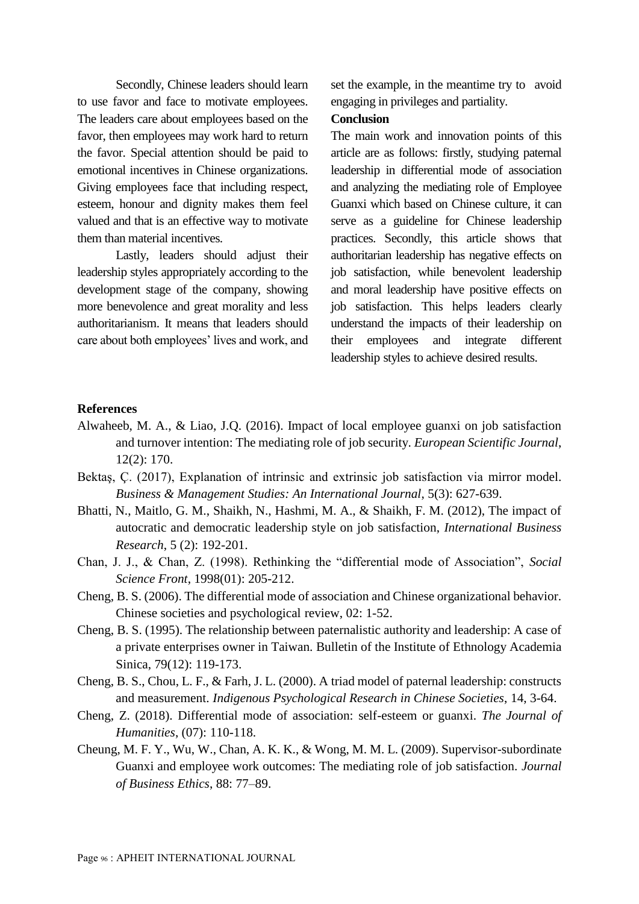Secondly, Chinese leaders should learn to use favor and face to motivate employees. The leaders care about employees based on the favor, then employees may work hard to return the favor. Special attention should be paid to emotional incentives in Chinese organizations. Giving employees face that including respect, esteem, honour and dignity makes them feel valued and that is an effective way to motivate them than material incentives.

Lastly, leaders should adjust their leadership styles appropriately according to the development stage of the company, showing more benevolence and great morality and less authoritarianism. It means that leaders should care about both employees' lives and work, and set the example, in the meantime try to avoid engaging in privileges and partiality.

#### **Conclusion**

The main work and innovation points of this article are as follows: firstly, studying paternal leadership in differential mode of association and analyzing the mediating role of Employee Guanxi which based on Chinese culture, it can serve as a guideline for Chinese leadership practices. Secondly, this article shows that authoritarian leadership has negative effects on job satisfaction, while benevolent leadership and moral leadership have positive effects on job satisfaction. This helps leaders clearly understand the impacts of their leadership on their employees and integrate different leadership styles to achieve desired results.

#### **References**

- Alwaheeb, M. A., & Liao, J.Q. (2016). Impact of local employee guanxi on job satisfaction and turnover intention: The mediating role of job security. *European Scientific Journal*, 12(2): 170.
- Bektaş, Ç. (2017), Explanation of intrinsic and extrinsic job satisfaction via mirror model. *Business & Management Studies: An International Journal*, 5(3): 627-639.
- Bhatti, N., Maitlo, G. M., Shaikh, N., Hashmi, M. A., & Shaikh, F. M. (2012), The impact of autocratic and democratic leadership style on job satisfaction, *International Business Research*, 5 (2): 192-201.
- Chan, J. J., & Chan, Z. (1998). Rethinking the "differential mode of Association", *Social Science Front*, 1998(01): 205-212.
- Cheng, B. S. (2006). The differential mode of association and Chinese organizational behavior. Chinese societies and psychological review, 02: 1-52.
- Cheng, B. S. (1995). The relationship between paternalistic authority and leadership: A case of a private enterprises owner in Taiwan. Bulletin of the Institute of Ethnology Academia Sinica, 79(12): 119-173.
- Cheng, B. S., Chou, L. F., & Farh, J. L. (2000). A triad model of paternal leadership: constructs and measurement. *Indigenous Psychological Research in Chinese Societies*, 14, 3-64.
- Cheng, Z. (2018). Differential mode of association: self-esteem or guanxi. *The Journal of Humanities*, (07): 110-118.
- Cheung, M. F. Y., Wu, W., Chan, A. K. K., & Wong, M. M. L. (2009). Supervisor-subordinate Guanxi and employee work outcomes: The mediating role of job satisfaction. *Journal of Business Ethics*, 88: 77–89.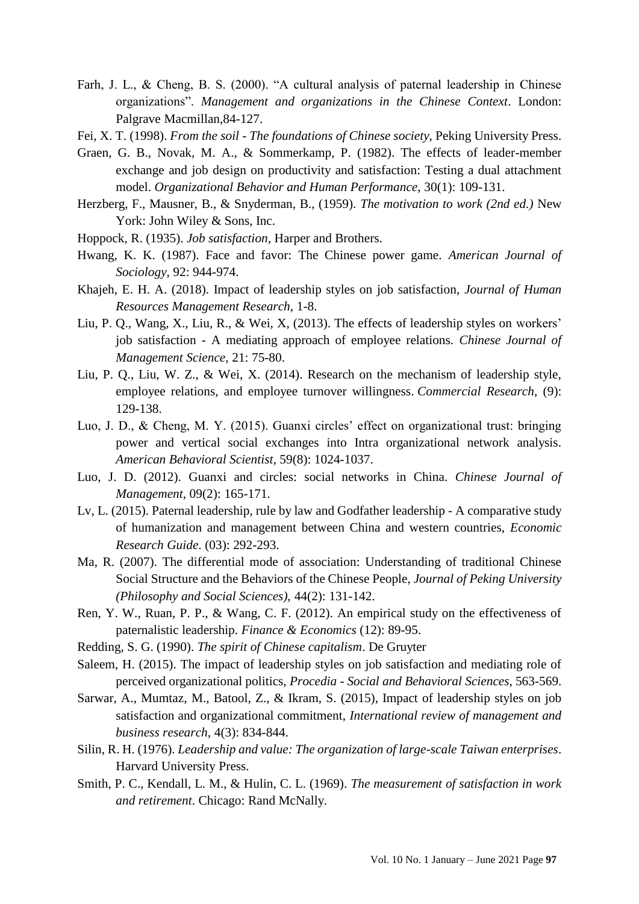- Farh, J. L., & Cheng, B. S. (2000). "A cultural analysis of paternal leadership in Chinese organizations". *Management and organizations in the Chinese Context*. London: Palgrave Macmillan,84-127.
- Fei, X. T. (1998). *From the soil - The foundations of Chinese society*, Peking University Press.
- Graen, G. B., Novak, M. A., & Sommerkamp, P. (1982). The effects of leader-member exchange and job design on productivity and satisfaction: Testing a dual attachment model. *Organizational Behavior and Human Performance*, 30(1): 109-131.
- Herzberg, F., Mausner, B., & Snyderman, B., (1959). *The motivation to work (2nd ed.)* New York: John Wiley & Sons, Inc.
- Hoppock, R. (1935). *Job satisfaction*, Harper and Brothers.
- Hwang, K. K. (1987). Face and favor: The Chinese power game. *American Journal of Sociology*, 92: 944-974.
- Khajeh, E. H. A. (2018). Impact of leadership styles on job satisfaction, *Journal of Human Resources Management Research*, 1-8.
- Liu, P. Q., Wang, X., Liu, R., & Wei, X, (2013). The effects of leadership styles on workers' job satisfaction - A mediating approach of employee relations. *Chinese Journal of Management Science*, 21: 75-80.
- Liu, P. Q., Liu, W. Z., & Wei, X. (2014). Research on the mechanism of leadership style, employee relations, and employee turnover willingness. *Commercial Research*, (9): 129-138.
- Luo, J. D., & Cheng, M. Y. (2015). Guanxi circles' effect on organizational trust: bringing power and vertical social exchanges into Intra organizational network analysis. *American Behavioral Scientist*, 59(8): 1024-1037.
- Luo, J. D. (2012). Guanxi and circles: social networks in China. *Chinese Journal of Management*, 09(2): 165-171.
- Lv, L. (2015). Paternal leadership, rule by law and Godfather leadership A comparative study of humanization and management between China and western countries, *Economic Research Guide*. (03): 292-293.
- Ma, R. (2007). The differential mode of association: Understanding of traditional Chinese Social Structure and the Behaviors of the Chinese People, *Journal of Peking University (Philosophy and Social Sciences)*, 44(2): 131-142.
- Ren, Y. W., Ruan, P. P., & Wang, C. F. (2012). An empirical study on the effectiveness of paternalistic leadership. *Finance & Economics* (12): 89-95.
- Redding, S. G. (1990). *The spirit of Chinese capitalism*. De Gruyter
- Saleem, H. (2015). The impact of leadership styles on job satisfaction and mediating role of perceived organizational politics, *Procedia - Social and Behavioral Sciences*, 563-569.
- Sarwar, A., Mumtaz, M., Batool, Z., & Ikram, S. (2015), Impact of leadership styles on job satisfaction and organizational commitment, *International review of management and business research*, 4(3): 834-844.
- Silin, R. H. (1976). *Leadership and value: The organization of large-scale Taiwan enterprises*. Harvard University Press.
- Smith, P. C., Kendall, L. M., & Hulin, C. L. (1969). *The measurement of satisfaction in work and retirement*. Chicago: Rand McNally.